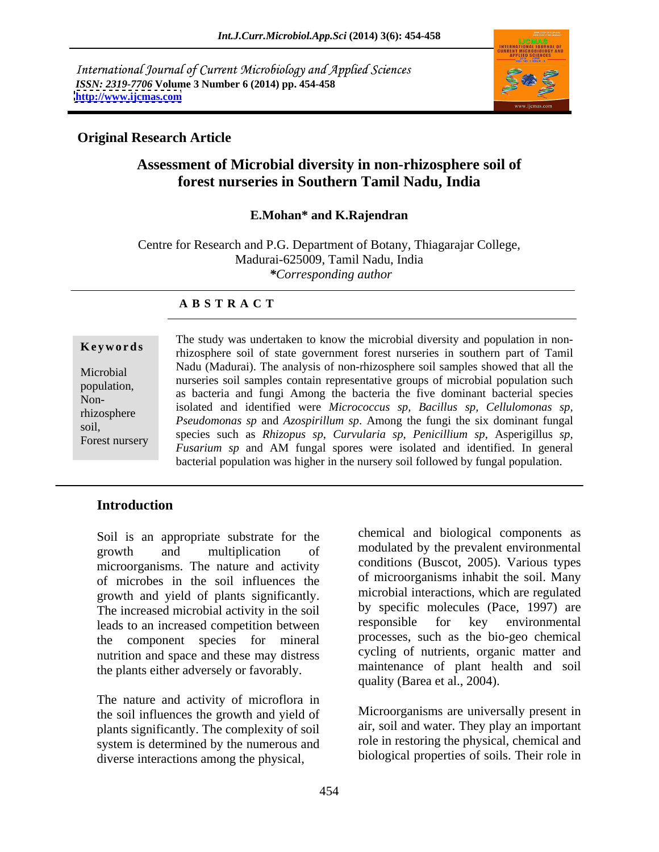International Journal of Current Microbiology and Applied Sciences *ISSN: 2319-7706* **Volume 3 Number 6 (2014) pp. 454-458 <http://www.ijcmas.com>**



### **Original Research Article**

# **Assessment of Microbial diversity in non-rhizosphere soil of forest nurseries in Southern Tamil Nadu, India**

#### **E.Mohan\* and K.Rajendran**

Centre for Research and P.G. Department of Botany, Thiagarajar College, Madurai-625009, Tamil Nadu, India *\*Corresponding author* 

#### **A B S T R A C T**

Non-

**Keywords** rhizosphere soil of state government forest nurseries in southern part of Tamil Microbial Madu (Madurar). The analysis of hon-finzosphere son samples showed that an the nurseries soil samples contain representative groups of microbial population such population,<br>
as bacteria and fungi Among the bacteria the five dominant bacterial species rhizosphere *Produced and Identified were interferences sp*, *Buctius sp*, *Cettuomonas sp*, *Pseudomonas sp* and *Azospirillum sp*. Among the fungi the six dominant fungal soil,<br>
species such as *Rhizopus sp, Curvularia sp, Penicillium sp*, Asperigillus *sp*,<br>
Forget pureory species such as *Rhizopus sp, Curvularia sp, Penicillium sp*, Asperigillus *sp*, Forest nursery species such as *Khizopus sp*, Carvalaria sp, Pencelliam sp, Asperignus sp,<br>*Fusarium sp* and AM fungal spores were isolated and identified. In general The study was undertaken to know the microbial diversity and population in non-Nadu (Madurai). The analysis of non-rhizosphere soil samples showed that all the isolated and identified were *Micrococcus sp, Bacillus sp, Cellulomonas sp,* bacterial population was higher in the nursery soil followed by fungal population.

#### **Introduction**

Soil is an appropriate substrate for the microorganisms. The nature and activity of microbes in the soil influences the growth and yield of plants significantly. The increased microbial activity in the soil by specific molecules (Pace, 1997) are<br>leads to an increased competition between responsible for key environmental leads to an increased competition between the component species for mineral nutrition and space and these may distress the plants either adversely or favorably.

The nature and activity of microflora in the soil influences the growth and yield of plants significantly. The complexity of soil system is determined by the numerous and diverse interactions among the physical,

growth and multiplication of modulated by the prevalent environmental chemical and biological components as modulated by the prevalent environmental conditions (Buscot, 2005). Various types of microorganisms inhabit the soil. Many microbial interactions, which are regulated by specific molecules (Pace, 1997) are responsible for key environmental processes, such as the bio-geo chemical cycling of nutrients, organic matter and maintenance of plant health and soil quality (Barea et al., 2004).

> Microorganisms are universally present in air, soil and water. They play an important role in restoring the physical, chemical and biological properties of soils. Their role in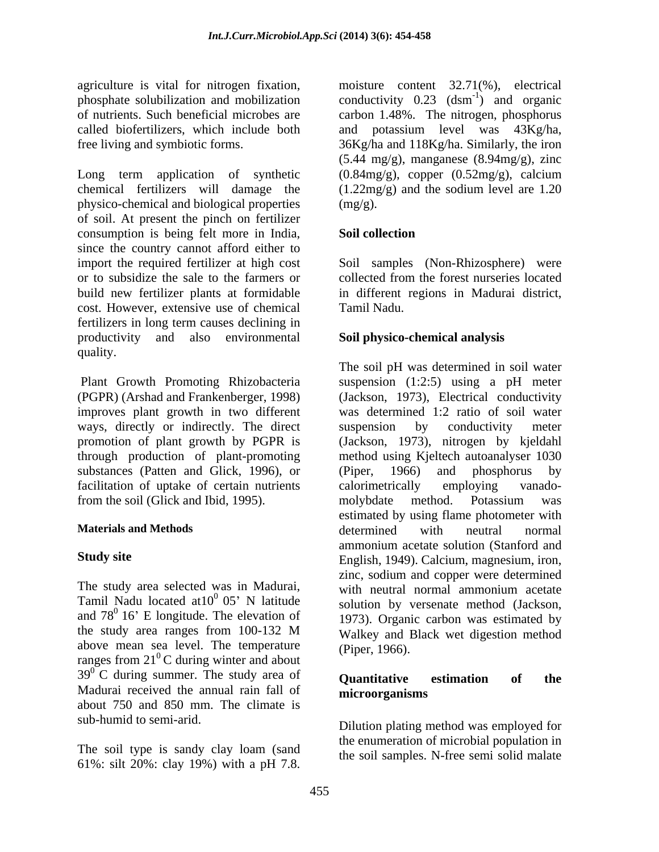agriculture is vital for nitrogen fixation, moisture content 32.71(%), electrical phosphate solubilization and mobilization conductivity  $0.23$  (dsm<sup>-1</sup>) and organic of nutrients. Such beneficial microbes are carbon 1.48%. The nitrogen, phosphorus called biofertilizers, which include both and potassium level was 43Kg/ha,

chemical fertilizers will damage the (1.22mg/g) and the sodium level are 1.20 physico-chemical and biological properties of soil. At present the pinch on fertilizer consumption is being felt more in India, since the country cannot afford either to import the required fertilizer at high cost Soil samples (Non-Rhizosphere) were or to subsidize the sale to the farmers or build new fertilizer plants at formidable in different regions in Madurai district, cost. However, extensive use of chemical fertilizers in long term causes declining in productivity and also environmental quality.

improves plant growth in two different ways, directly or indirectly. The direct suspension by conductivity meter substances (Patten and Glick, 1996), or (Piper, 1966) and phosphorus by facilitation of uptake of certain nutrients calorimetrically employing vanadofrom the soil (Glick and Ibid, 1995). The molybdate method. Potassium was

The study area selected was in Madurai, with neutral normal ammonium acetate Tamil Nadu located at  $10^0$  05' N latitude above mean sea level. The temperature ranges from  $21^{\circ}$ C during winter and about  ${}^{0}$ C during winter and about  $(1.1)$  external  $(2.1)$  external about  $39^{\circ}$  C during summer. The study area of **Quantitative** estimation of the Madurai received the annual rain fall of **microorganisms** about 750 and 850 mm. The climate is

free living and symbiotic forms. 36Kg/ha and 118Kg/ha. Similarly, the iron Long term application of synthetic  $(0.84mg/g)$ , copper  $(0.52mg/g)$ , calcium ) and organic (5.44 mg/g), manganese (8.94mg/g), zinc (0.84mg/g), copper (0.52mg/g), calcium  $(mg/g)$ .

### **Soil collection**

collected from the forest nurseries located Tamil Nadu.

### **Soil physico-chemical analysis**

 Plant Growth Promoting Rhizobacteria suspension (1:2:5) using a pH meter (PGPR) (Arshad and Frankenberger, 1998) (Jackson, 1973), Electrical conductivity promotion of plant growth by PGPR is (Jackson, 1973), nitrogen by kjeldahl through production of plant-promoting method using Kjeltech autoanalyser 1030 **Materials and Methods Study site** English, 1949). Calcium, magnesium, iron,  $\frac{0}{0.05}$  N latitude solution by versenate method (Jackson) and  $78^{\circ}$  16' E longitude. The elevation of  $\frac{1973}{1973}$  Organic carbon was estimated by the study area ranges from 100-132 M Walkey and Black wet digestion method agrediating is viale for integrals from the integral and the class of matrix (a) the content 32.71(%), electrical integrals of the photospace schedules are content 32.71(%), electrical integrals of the matrix Sun bender t The soil pH was determined in soil water was determined 1:2 ratio of soil water suspension by conductivity meter (Piper, 1966) and phosphorus by calorimetrically employing vanado molybdate method. Potassium was estimated by using flame photometer with determined with neutral normal ammonium acetate solution (Stanford and zinc, sodium and copper were determined with neutral normal ammonium acetate solution by versenate method (Jackson, 1973). Organic carbon was estimated by Walkey and Black wet digestion method (Piper, 1966).

#### **Quantitative estimation of the microorganisms**

sub-humid to semi-arid. Dilution plating method was employed for The soil type is sandy clay loam (sand the soil samples N free semi solid malate the enumeration of microbial population in the soil samples. N-free semi solid malate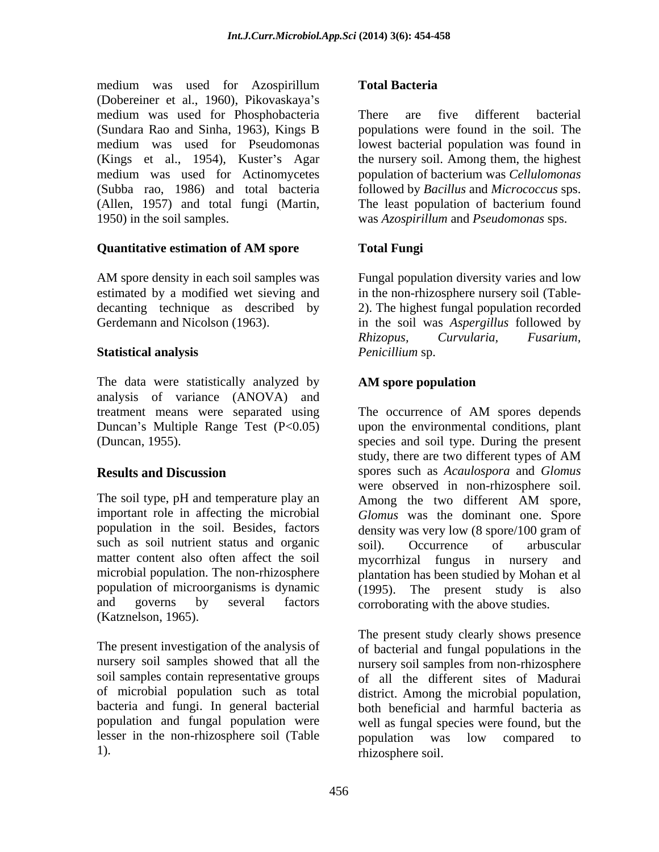medium was used for Azospirillum Total Bacteria (Dobereiner et al., 1960), Pikovaskaya's medium was used for Phosphobacteria (Kings et al., 1954), Kuster's Agar (Allen, 1957) and total fungi (Martin, 1950) in the soil samples. was *Azospirillum* and *Pseudomonas* sps.

## **Quantitative estimation of AM spore**

AM spore density in each soil samples was Fungal population diversity varies and low estimated by a modified wet sieving and in the non-rhizosphere nursery soil (Table decanting technique as described by 2). The highest fungal population recorded Gerdemann and Nicolson (1963). in the soil was *Aspergillus* followed by

The data were statistically analyzed by **AM** spore population analysis of variance (ANOVA) and treatment means were separated using The occurrence of AM spores depends

The soil type, pH and temperature play an Among the two different AM spore, such as soil nutrient status and organic soil). Occurrence of arbuscular matter content also often affect the soil mycorrhizal fungus in nursery and and governs by several factors corroborating with the above studies. (Katznelson, 1965).

nursery soil samples showed that all the nursery soil samples from non-rhizosphere of microbial population such as total lesser in the non-rhizosphere soil (Table by population was low compared to

### **Total Bacteria**

(Sundara Rao and Sinha, 1963), Kings B populations were found in the soil. The medium was used for Pseudomonas lowest bacterial population was found in medium was used for Actinomycetes population of bacterium was *Cellulomonas*  (Subba rao, 1986) and total bacteria followed by *Bacillus* and *Micrococcus* sps. There are five different bacterial the nursery soil. Among them, the highest The least population of bacterium found

## **Total Fungi**

**Statistical analysis** *Rhizopus, Curvularia, Fusarium, Penicillium* sp.

### **AM spore population**

Duncan's Multiple Range Test (P<0.05) upon the environmental conditions, plant (Duncan, 1955). species and soil type. During the present **Results and Discussion** spores such as *Acaulospora* and *Glomus* important role in affecting the microbial *Glomus* was the dominant one. Spore population in the soil. Besides, factors density was very low (8 spore/100 gram of microbial population. The non-rhizosphere plantation has been studied by Mohan et al population of microorganisms is dynamic (1995). The present study is also The occurrence of AM spores depends study, there are two different types of AM were observed in non-rhizosphere soil. Among the two different AM spore, soil). Occurrence of arbuscular mycorrhizal fungus in nursery

The present investigation of the analysis of of bacterial and fungal populations in the soil samples contain representative groups of all the different sites of Madurai bacteria and fungi. In general bacterial both beneficial and harmful bacteria as population and fungal population were well as fungal species were found, but the 1). rhizosphere soil. The present study clearly shows presence nursery soil samples from non-rhizosphere district. Among the microbial population, population was low compared to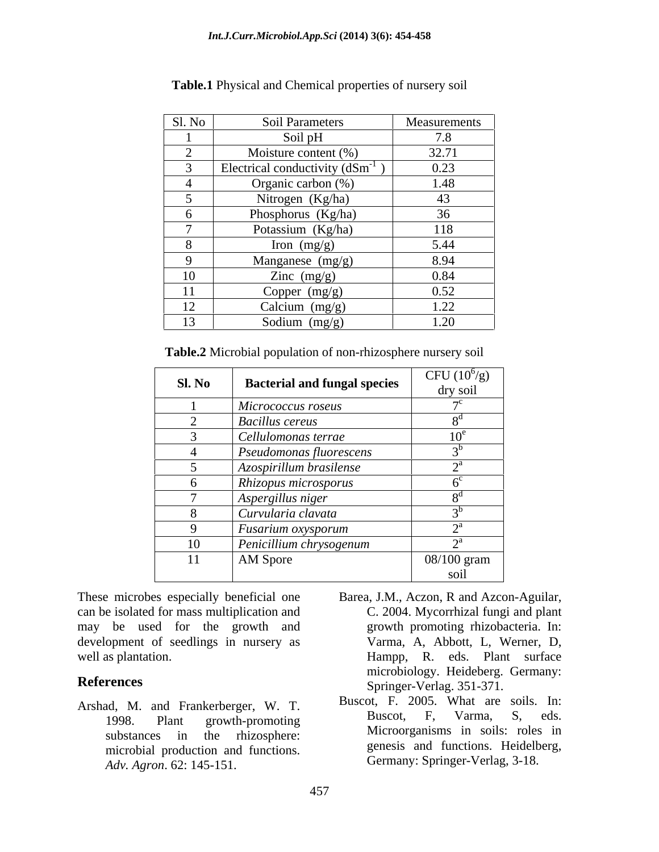|        | Table.1 Physical and Chemical properties of nursery soil |              |  |
|--------|----------------------------------------------------------|--------------|--|
|        |                                                          |              |  |
| Sl. No | <b>Soil Parameters</b>                                   | Measurements |  |
|        | Soil pH                                                  | 7.8          |  |
|        | Moisture content $(\%)$                                  | 32.71        |  |
|        | Electrical conductivity $(dSm^{-1})$                     | 0.23         |  |
|        | Organic carbon (%)                                       | 1.48         |  |
|        | Nitrogen (Kg/ha)                                         | 43           |  |
|        | Phosphorus (Kg/ha)                                       | 36           |  |
|        | Potassium (Kg/ha)                                        | 118          |  |
|        | Iron $(mg/g)$                                            | 5.44         |  |
|        | Manganese (mg/g)                                         | 8.94         |  |
| 10     | Zinc $(mg/g)$                                            | 0.84         |  |
| 11     | Copper $(mg/g)$                                          | 0.52         |  |
| 12     | Calcium (mg/g)                                           | 1.22         |  |
| 13     | Sodium $(mg/g)$                                          | 1.20         |  |

| Sl. No | <b>Bacterial and fungal species</b> | CFU $(10^6/g)$            |
|--------|-------------------------------------|---------------------------|
|        |                                     | dry soil                  |
|        | Micrococcus roseus                  |                           |
|        | <b>Bacillus cereus</b>              |                           |
|        | $\vert$ Cellulomonas terrae         | $10^{\rm e}$              |
|        | $\vert$ Pseudomonas fluorescens     |                           |
|        | Azospirillum brasilense             | $\mathbf{a}$              |
|        | Rhizopus microsporus                |                           |
|        | Aspergillus niger                   |                           |
|        | Curvularia clavata                  |                           |
|        | <b>Fusarium oxysporum</b>           | $\mathbf{A}^{\mathrm{a}}$ |
| 10     | Penicillium chrysogenum             |                           |
| 11     | AM Spore                            | 08/100 gram               |
|        |                                     | soil                      |

These microbes especially beneficial one Barea, J.M., Aczon, R and Azcon-Aguilar, can be isolated for mass multiplication and may be used for the growth and development of seedlings in nursery as

- Arshad, M. and Frankerberger, W. T.<br>1998 Plant growth promoting Buscot, F. Varma, S. eds. 1998. Plant growth-promoting microbial production and functions. *Adv. Agron*. 62: 145-151.
- well as plantation. The eds. Plant surface well as plantation. **References** Springer-Verlag. 351-371. C. 2004. Mycorrhizal fungi and plant growth promoting rhizobacteria. In: Varma, A, Abbott, L, Werner, D, microbiology. Heideberg. Germany:
	- substances in the rhizosphere: MICroorganisms in solis: roles in Buscot, F. 2005. What are soils. In: Buscot, F, Varma, S, eds. Microorganisms in soils: roles in genesis and functions. Heidelberg, Germany: Springer-Verlag, 3-18.